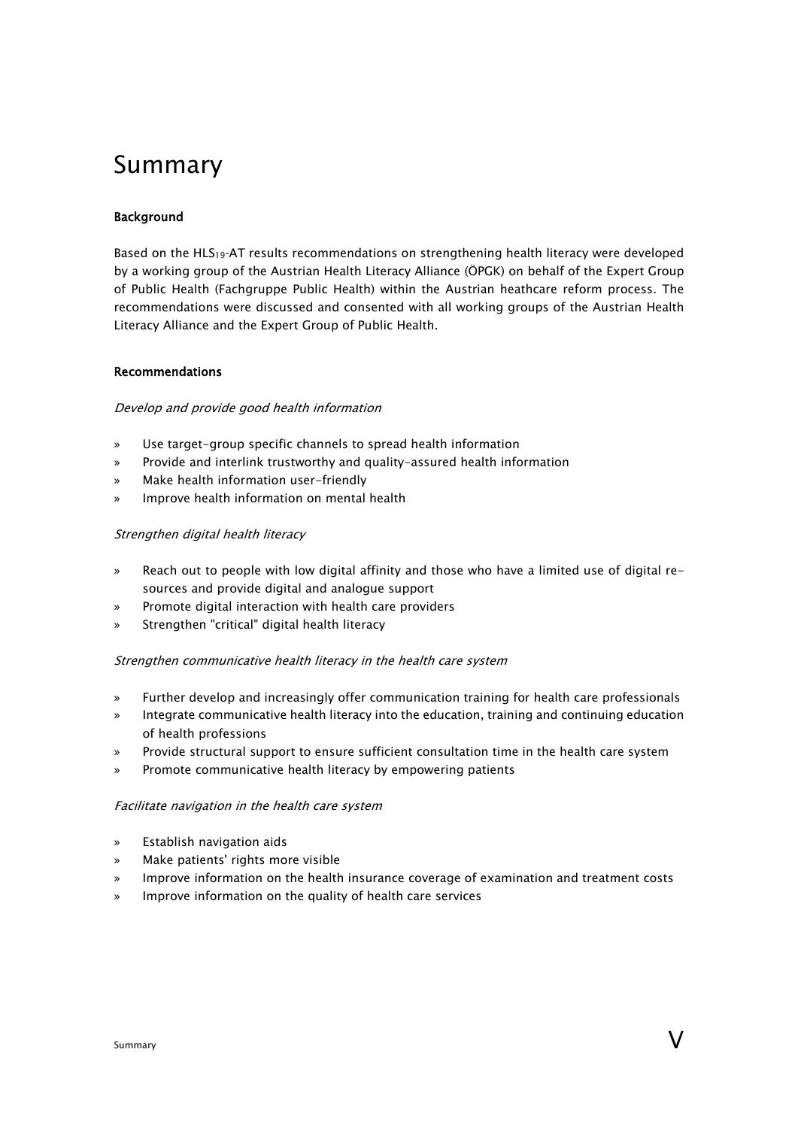# Summary

# Background

Based on the HLS<sub>19</sub>-AT results recommendations on strengthening health literacy were developed by a working group of the Austrian Health Literacy Alliance (ÖPGK) on behalf of the Expert Group of Public Health (Fachgruppe Public Health) within the Austrian heathcare reform process. The recommendations were discussed and consented with all working groups of the Austrian Health Literacy Alliance and the Expert Group of Public Health.

#### Recommendations

## Develop and provide good health information

- » Use target-group specific channels to spread health information
- » Provide and interlink trustworthy and quality-assured health information
- » Make health information user-friendly
- » Improve health information on mental health

## Strengthen digital health literacy

- » Reach out to people with low digital affinity and those who have a limited use of digital resources and provide digital and analogue support
- » Promote digital interaction with health care providers
- » Strengthen "critical" digital health literacy

#### Strengthen communicative health literacy in the health care system

- » Further develop and increasingly offer communication training for health care professionals
- » Integrate communicative health literacy into the education, training and continuing education of health professions
- » Provide structural support to ensure sufficient consultation time in the health care system
- Promote communicative health literacy by empowering patients

#### Facilitate navigation in the health care system

- » Establish navigation aids
- » Make patients' rights more visible
- » Improve information on the health insurance coverage of examination and treatment costs
- » Improve information on the quality of health care services